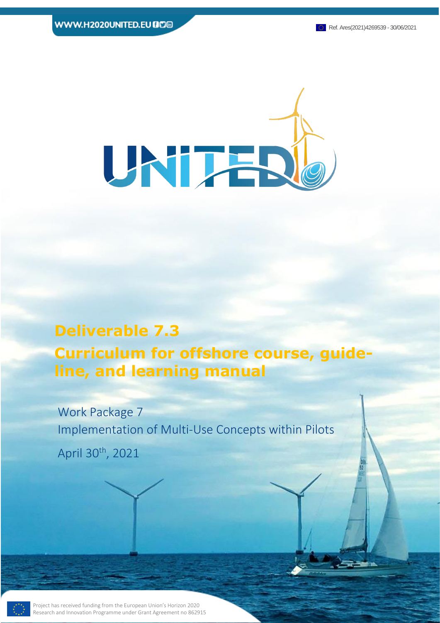

This Project has received funding from the European Union's Horizon 2020 Research

# **Deliverable 7.3 Curriculum for offshore course, guideline, and learning manual**

Page 1 of 23 **Deliverable 7.3**

Work Package 7 Implementation of Multi-Use Concepts within Pilots April 30th, 2021

Project has received funding from the European Union's Horizon 2020 Research and Innovation Programme under Grant Agreement no 862915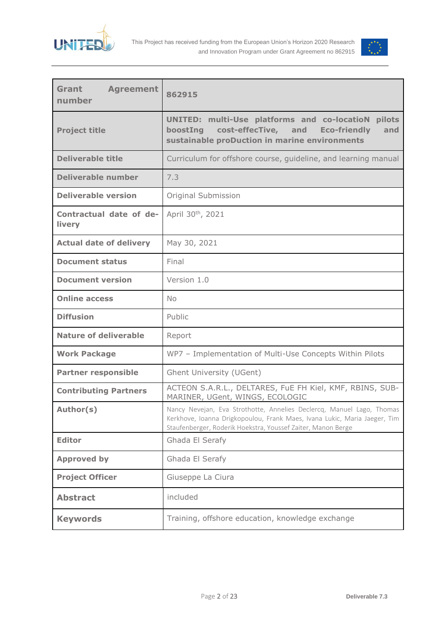



| Grant<br><b>Agreement</b><br>number | 862915                                                                                                                                                                                                             |
|-------------------------------------|--------------------------------------------------------------------------------------------------------------------------------------------------------------------------------------------------------------------|
| <b>Project title</b>                | <b>UNITED: multi-Use platforms and co-locatioN</b><br>pilots<br>boostIng cost-effecTive, and<br><b>Eco-friendly</b><br>and<br>sustainable proDuction in marine environments                                        |
| <b>Deliverable title</b>            | Curriculum for offshore course, guideline, and learning manual                                                                                                                                                     |
| <b>Deliverable number</b>           | 7.3                                                                                                                                                                                                                |
| <b>Deliverable version</b>          | Original Submission                                                                                                                                                                                                |
| Contractual date of de-<br>livery   | April 30th, 2021                                                                                                                                                                                                   |
| <b>Actual date of delivery</b>      | May 30, 2021                                                                                                                                                                                                       |
| <b>Document status</b>              | Final                                                                                                                                                                                                              |
| <b>Document version</b>             | Version 1.0                                                                                                                                                                                                        |
| <b>Online access</b>                | No                                                                                                                                                                                                                 |
| <b>Diffusion</b>                    | Public                                                                                                                                                                                                             |
| <b>Nature of deliverable</b>        | Report                                                                                                                                                                                                             |
| <b>Work Package</b>                 | WP7 - Implementation of Multi-Use Concepts Within Pilots                                                                                                                                                           |
| <b>Partner responsible</b>          | Ghent University (UGent)                                                                                                                                                                                           |
| <b>Contributing Partners</b>        | ACTEON S.A.R.L., DELTARES, FuE FH Kiel, KMF, RBINS, SUB-<br>MARINER, UGent, WINGS, ECOLOGIC                                                                                                                        |
| Author(s)                           | Nancy Nevejan, Eva Strothotte, Annelies Declercq, Manuel Lago, Thomas<br>Kerkhove, Ioanna Drigkopoulou, Frank Maes, Ivana Lukic, Maria Jaeger, Tim<br>Staufenberger, Roderik Hoekstra, Youssef Zaiter, Manon Berge |
| <b>Editor</b>                       | Ghada El Serafy                                                                                                                                                                                                    |
| <b>Approved by</b>                  | Ghada El Serafy                                                                                                                                                                                                    |
| <b>Project Officer</b>              | Giuseppe La Ciura                                                                                                                                                                                                  |
| <b>Abstract</b>                     | included                                                                                                                                                                                                           |
| <b>Keywords</b>                     | Training, offshore education, knowledge exchange                                                                                                                                                                   |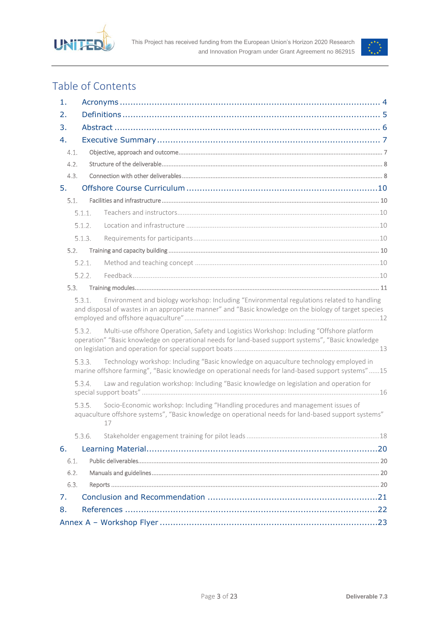



## Table of Contents

| 1.   |        |                                                                                                                                                                                                      |  |  |
|------|--------|------------------------------------------------------------------------------------------------------------------------------------------------------------------------------------------------------|--|--|
| 2.   |        |                                                                                                                                                                                                      |  |  |
| 3.   |        |                                                                                                                                                                                                      |  |  |
| 4.   |        |                                                                                                                                                                                                      |  |  |
| 4.1. |        |                                                                                                                                                                                                      |  |  |
| 4.2. |        |                                                                                                                                                                                                      |  |  |
| 4.3. |        |                                                                                                                                                                                                      |  |  |
| 5.   |        |                                                                                                                                                                                                      |  |  |
| 5.1. |        |                                                                                                                                                                                                      |  |  |
|      | 5.1.1. |                                                                                                                                                                                                      |  |  |
|      | 5.1.2. |                                                                                                                                                                                                      |  |  |
|      | 5.1.3. |                                                                                                                                                                                                      |  |  |
| 5.2. |        |                                                                                                                                                                                                      |  |  |
|      | 5.2.1. |                                                                                                                                                                                                      |  |  |
|      | 5.2.2. |                                                                                                                                                                                                      |  |  |
| 5.3. |        |                                                                                                                                                                                                      |  |  |
|      | 5.3.1. | Environment and biology workshop: Including "Environmental regulations related to handling<br>and disposal of wastes in an appropriate manner" and "Basic knowledge on the biology of target species |  |  |
|      | 5.3.2. | Multi-use offshore Operation, Safety and Logistics Workshop: Including "Offshore platform<br>operation" "Basic knowledge on operational needs for land-based support systems", "Basic knowledge      |  |  |
|      | 5.3.3. | Technology workshop: Including "Basic knowledge on aquaculture technology employed in<br>marine offshore farming", "Basic knowledge on operational needs for land-based support systems" 15          |  |  |
|      | 534    | Law and regulation workshop: Including "Basic knowledge on legislation and operation for                                                                                                             |  |  |
|      | 535.   | Socio-Economic workshop: Including "Handling procedures and management issues of<br>aquaculture offshore systems", "Basic knowledge on operational needs for land-based support systems"<br>17       |  |  |
|      | 5.3.6. |                                                                                                                                                                                                      |  |  |
| 6.   |        |                                                                                                                                                                                                      |  |  |
| 6.1. |        |                                                                                                                                                                                                      |  |  |
| 6.2. |        |                                                                                                                                                                                                      |  |  |
| 6.3. |        |                                                                                                                                                                                                      |  |  |
| 7.   |        |                                                                                                                                                                                                      |  |  |
| 8.   |        |                                                                                                                                                                                                      |  |  |
|      |        |                                                                                                                                                                                                      |  |  |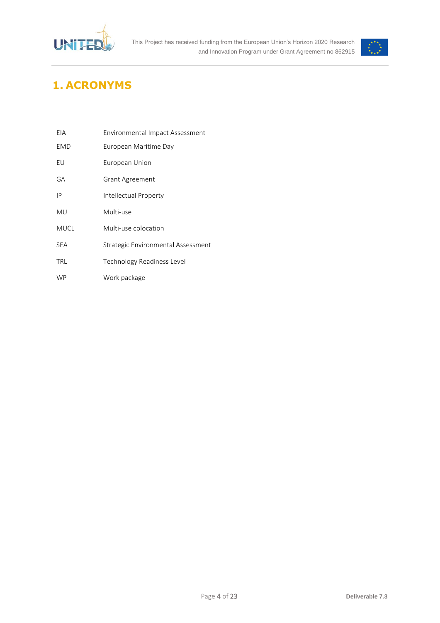



## <span id="page-3-0"></span>**1. ACRONYMS**

| EIA         | Environmental Impact Assessment    |
|-------------|------------------------------------|
| <b>EMD</b>  | European Maritime Day              |
| EU          | European Union                     |
| GA          | <b>Grant Agreement</b>             |
| IP          | Intellectual Property              |
| MU          | Multi-use                          |
| <b>MUCL</b> | Multi-use colocation               |
| <b>SFA</b>  | Strategic Environmental Assessment |
| TRL         | Technology Readiness Level         |
| <b>WP</b>   | Work package                       |
|             |                                    |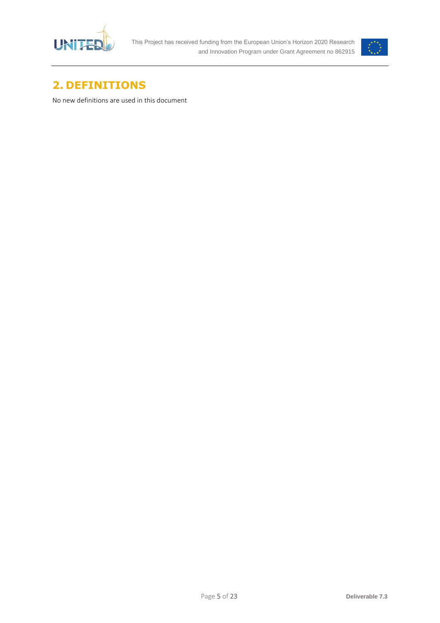



## <span id="page-4-0"></span>**2. DEFINITIONS**

No new definitions are used in this document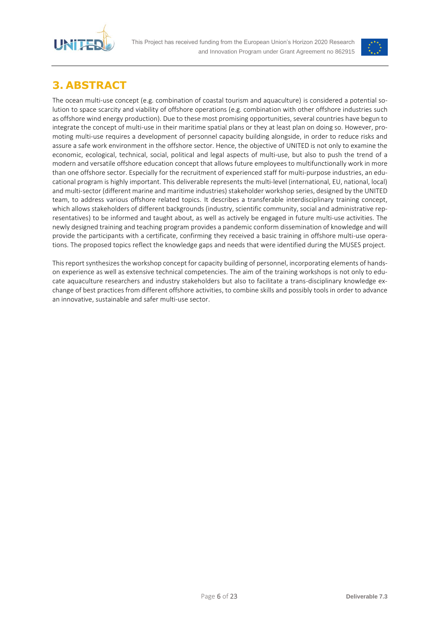



## <span id="page-5-0"></span>**3. ABSTRACT**

The ocean multi-use concept (e.g. combination of coastal tourism and aquaculture) is considered a potential solution to space scarcity and viability of offshore operations (e.g. combination with other offshore industries such as offshore wind energy production). Due to these most promising opportunities, several countries have begun to integrate the concept of multi-use in their maritime spatial plans or they at least plan on doing so. However, promoting multi-use requires a development of personnel capacity building alongside, in order to reduce risks and assure a safe work environment in the offshore sector. Hence, the objective of UNITED is not only to examine the economic, ecological, technical, social, political and legal aspects of multi-use, but also to push the trend of a modern and versatile offshore education concept that allows future employees to multifunctionally work in more than one offshore sector. Especially for the recruitment of experienced staff for multi-purpose industries, an educational program is highly important. This deliverable represents the multi-level (international, EU, national, local) and multi-sector (different marine and maritime industries) stakeholder workshop series, designed by the UNITED team, to address various offshore related topics. It describes a transferable interdisciplinary training concept, which allows stakeholders of different backgrounds (industry, scientific community, social and administrative representatives) to be informed and taught about, as well as actively be engaged in future multi-use activities. The newly designed training and teaching program provides a pandemic conform dissemination of knowledge and will provide the participants with a certificate, confirming they received a basic training in offshore multi-use operations. The proposed topics reflect the knowledge gaps and needs that were identified during the MUSES project.

This report synthesizes the workshop concept for capacity building of personnel, incorporating elements of handson experience as well as extensive technical competencies. The aim of the training workshops is not only to educate aquaculture researchers and industry stakeholders but also to facilitate a trans-disciplinary knowledge exchange of best practices from different offshore activities, to combine skills and possibly tools in order to advance an innovative, sustainable and safer multi-use sector.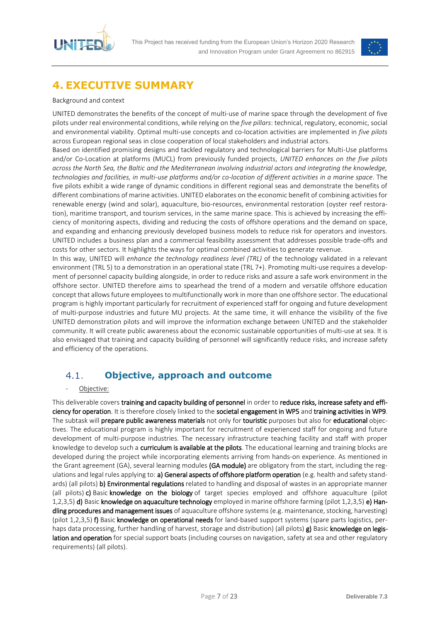



## <span id="page-6-0"></span>**4. EXECUTIVE SUMMARY**

#### Background and context

UNITED demonstrates the benefits of the concept of multi-use of marine space through the development of five pilots under real environmental conditions, while relying on the *five pillars*: technical, regulatory, economic, social and environmental viability. Optimal multi-use concepts and co-location activities are implemented in *five pilots*  across European regional seas in close cooperation of local stakeholders and industrial actors.

Based on identified promising designs and tackled regulatory and technological barriers for Multi-Use platforms and/or Co-Location at platforms (MUCL) from previously funded projects, *UNITED enhances on the five pilots across the North Sea, the Baltic and the Mediterranean involving industrial actors and integrating the knowledge, technologies and facilities, in multi-use platforms and/or co-location of different activities in a marine space*. The five pilots exhibit a wide range of dynamic conditions in different regional seas and demonstrate the benefits of different combinations of marine activities. UNITED elaborates on the economic benefit of combining activities for renewable energy (wind and solar), aquaculture, bio-resources, environmental restoration (oyster reef restoration), maritime transport, and tourism services, in the same marine space. This is achieved by increasing the efficiency of monitoring aspects, dividing and reducing the costs of offshore operations and the demand on space, and expanding and enhancing previously developed business models to reduce risk for operators and investors. UNITED includes a business plan and a commercial feasibility assessment that addresses possible trade-offs and costs for other sectors. It highlights the ways for optimal combined activities to generate revenue.

In this way, UNITED will *enhance the technology readiness level (TRL)* of the technology validated in a relevant environment (TRL 5) to a demonstration in an operational state (TRL 7+). Promoting multi-use requires a development of personnel capacity building alongside, in order to reduce risks and assure a safe work environment in the offshore sector. UNITED therefore aims to spearhead the trend of a modern and versatile offshore education concept that allows future employees to multifunctionally work in more than one offshore sector. The educational program is highly important particularly for recruitment of experienced staff for ongoing and future development of multi-purpose industries and future MU projects. At the same time, it will enhance the visibility of the five UNITED demonstration pilots and will improve the information exchange between UNITED and the stakeholder community. It will create public awareness about the economic sustainable opportunities of multi-use at sea. It is also envisaged that training and capacity building of personnel will significantly reduce risks, and increase safety and efficiency of the operations.

#### <span id="page-6-1"></span>**Objective, approach and outcome**  $4.1.$

#### Objective:

This deliverable covers training and capacity building of personnel in order to reduce risks, increase safety and efficiency for operation. It is therefore closely linked to the societal engagement in WP5 and training activities in WP9. The subtask will prepare public awareness materials not only for touristic purposes but also for educational objectives. The educational program is highly important for recruitment of experienced staff for ongoing and future development of multi-purpose industries. The necessary infrastructure teaching facility and staff with proper knowledge to develop such a curriculum is available at the pilots. The educational learning and training blocks are developed during the project while incorporating elements arriving from hands-on experience. As mentioned in the Grant agreement (GA), several learning modules (GA module) are obligatory from the start, including the regulations and legal rules applying to: a) General aspects of offshore platform operation (e.g. health and safety standards) (all pilots) b) Environmental regulations related to handling and disposal of wastes in an appropriate manner (all pilots) c) Basic knowledge on the biology of target species employed and offshore aquaculture (pilot 1,2,3,5) d) Basic knowledge on aquaculture technology employed in marine offshore farming (pilot 1,2,3,5) e) Handling procedures and management issues of aquaculture offshore systems (e.g. maintenance, stocking, harvesting) (pilot 1,2,3,5) f) Basic knowledge on operational needs for land-based support systems (spare parts logistics, perhaps data processing, further handling of harvest, storage and distribution) (all pilots) g) Basic knowledge on legislation and operation for special support boats (including courses on navigation, safety at sea and other regulatory requirements) (all pilots).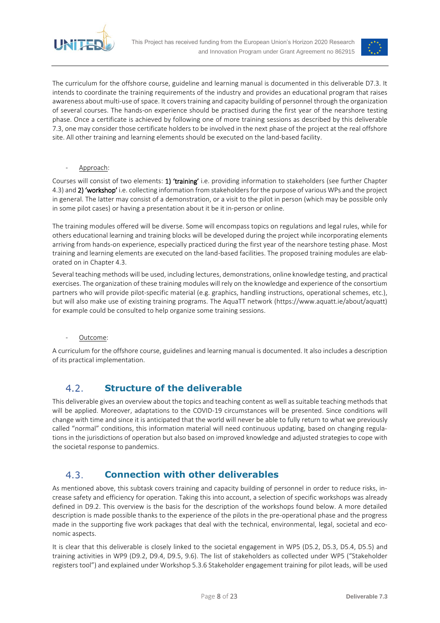



The curriculum for the offshore course, guideline and learning manual is documented in this deliverable D7.3. It intends to coordinate the training requirements of the industry and provides an educational program that raises awareness about multi-use of space. It covers training and capacity building of personnel through the organization of several courses. The hands-on experience should be practised during the first year of the nearshore testing phase. Once a certificate is achieved by following one of more training sessions as described by this deliverable 7.3, one may consider those certificate holders to be involved in the next phase of the project at the real offshore site. All other training and learning elements should be executed on the land-based facility.

Approach:

Courses will consist of two elements: 1) 'training' i.e. providing information to stakeholders (see further Chapter 4.3) and 2) 'workshop' i.e. collecting information from stakeholders for the purpose of various WPs and the project in general. The latter may consist of a demonstration, or a visit to the pilot in person (which may be possible only in some pilot cases) or having a presentation about it be it in-person or online.

The training modules offered will be diverse. Some will encompass topics on regulations and legal rules, while for others educational learning and training blocks will be developed during the project while incorporating elements arriving from hands-on experience, especially practiced during the first year of the nearshore testing phase. Most training and learning elements are executed on the land-based facilities. The proposed training modules are elaborated on in Chapter 4.3.

Several teaching methods will be used, including lectures, demonstrations, online knowledge testing, and practical exercises. The organization of these training modules will rely on the knowledge and experience of the consortium partners who will provide pilot-specific material (e.g. graphics, handling instructions, operational schemes, etc.), but will also make use of existing training programs. The AquaTT network (https://www.aquatt.ie/about/aquatt) for example could be consulted to help organize some training sessions.

#### Outcome:

A curriculum for the offshore course, guidelines and learning manual is documented. It also includes a description of its practical implementation.

#### <span id="page-7-0"></span> $4.2.$ **Structure of the deliverable**

This deliverable gives an overview about the topics and teaching content as well as suitable teaching methods that will be applied. Moreover, adaptations to the COVID-19 circumstances will be presented. Since conditions will change with time and since it is anticipated that the world will never be able to fully return to what we previously called "normal" conditions, this information material will need continuous updating, based on changing regulations in the jurisdictions of operation but also based on improved knowledge and adjusted strategies to cope with the societal response to pandemics.

#### <span id="page-7-1"></span>**Connection with other deliverables**  $4.3.$

As mentioned above, this subtask covers training and capacity building of personnel in order to reduce risks, increase safety and efficiency for operation. Taking this into account, a selection of specific workshops was already defined in D9.2. This overview is the basis for the description of the workshops found below. A more detailed description is made possible thanks to the experience of the pilots in the pre-operational phase and the progress made in the supporting five work packages that deal with the technical, environmental, legal, societal and economic aspects.

It is clear that this deliverable is closely linked to the societal engagement in WP5 (D5.2, D5.3, D5.4, D5.5) and training activities in WP9 (D9.2, D9.4, D9.5, 9.6). The list of stakeholders as collected under WP5 ("Stakeholder registers tool") and explained under Workshop 5.3.6 Stakeholder engagement training for pilot leads, will be used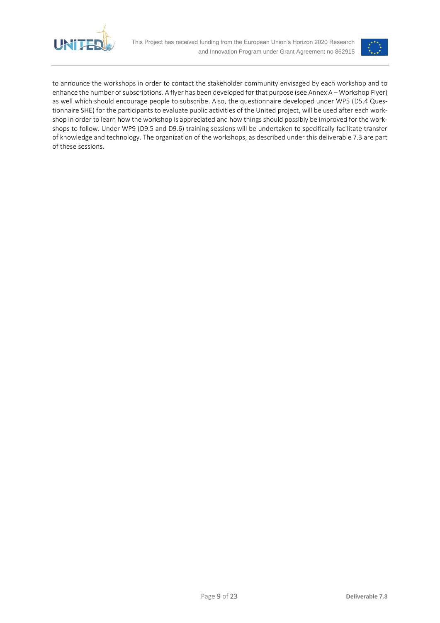



to announce the workshops in order to contact the stakeholder community envisaged by each workshop and to enhance the number of subscriptions. A flyer has been developed for that purpose (see Annex A – [Workshop Flyer\)](#page-22-0) as well which should encourage people to subscribe. Also, the questionnaire developed under WP5 (D5.4 Questionnaire SHE) for the participants to evaluate public activities of the United project, will be used after each workshop in order to learn how the workshop is appreciated and how things should possibly be improved for the workshops to follow. Under WP9 (D9.5 and D9.6) training sessions will be undertaken to specifically facilitate transfer of knowledge and technology. The organization of the workshops, as described under this deliverable 7.3 are part of these sessions.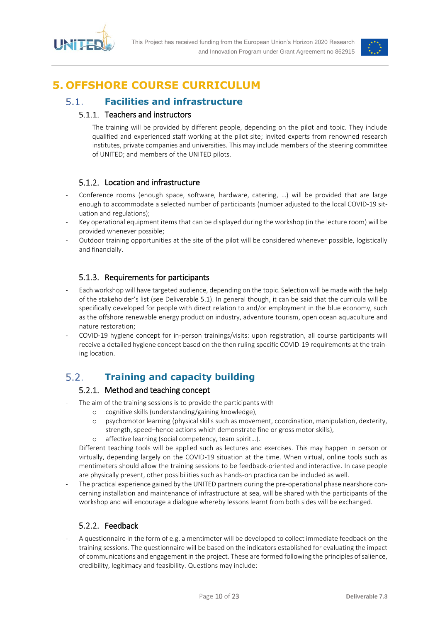



## <span id="page-9-0"></span>**5. OFFSHORE COURSE CURRICULUM**

#### <span id="page-9-2"></span><span id="page-9-1"></span>**Facilities and infrastructure**  $5.1.$

### 5.1.1. Teachers and instructors

The training will be provided by different people, depending on the pilot and topic. They include qualified and experienced staff working at the pilot site; invited experts from renowned research institutes, private companies and universities. This may include members of the steering committee of UNITED; and members of the UNITED pilots.

### 5.1.2. Location and infrastructure

- <span id="page-9-3"></span>Conference rooms (enough space, software, hardware, catering, ...) will be provided that are large enough to accommodate a selected number of participants (number adjusted to the local COVID-19 situation and regulations);
- Key operational equipment items that can be displayed during the workshop (in the lecture room) will be provided whenever possible;
- Outdoor training opportunities at the site of the pilot will be considered whenever possible, logistically and financially.

### 5.1.3. Requirements for participants

- <span id="page-9-4"></span>Each workshop will have targeted audience, depending on the topic. Selection will be made with the help of the stakeholder's list (see Deliverable 5.1). In general though, it can be said that the curricula will be specifically developed for people with direct relation to and/or employment in the blue economy, such as the offshore renewable energy production industry, adventure tourism, open ocean aquaculture and nature restoration;
- COVID-19 hygiene concept for in-person trainings/visits: upon registration, all course participants will receive a detailed hygiene concept based on the then ruling specific COVID-19 requirements at the training location.

#### <span id="page-9-6"></span><span id="page-9-5"></span> $5.2.$ **Training and capacity building**

### 5.2.1. Method and teaching concept

- The aim of the training sessions is to provide the participants with
	- o cognitive skills (understanding/gaining knowledge),
	- o psychomotor learning (physical skills such as movement, coordination, manipulation, dexterity, strength, speed–hence actions which demonstrate fine or gross motor skills),
	- o affective learning (social competency, team spirit…).

Different teaching tools will be applied such as lectures and exercises. This may happen in person or virtually, depending largely on the COVID-19 situation at the time. When virtual, online tools such as mentimeters should allow the training sessions to be feedback-oriented and interactive. In case people are physically present, other possibilities such as hands-on practica can be included as well.

The practical experience gained by the UNITED partners during the pre-operational phase nearshore concerning installation and maintenance of infrastructure at sea, will be shared with the participants of the workshop and will encourage a dialogue whereby lessons learnt from both sides will be exchanged.

### Feedback

<span id="page-9-7"></span>A questionnaire in the form of e.g. a mentimeter will be developed to collect immediate feedback on the training sessions. The questionnaire will be based on the indicators established for evaluating the impact of communications and engagement in the project. These are formed following the principles of salience, credibility, legitimacy and feasibility. Questions may include: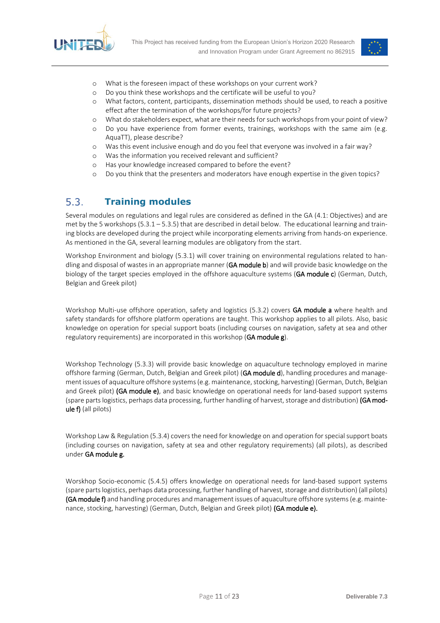



- o What is the foreseen impact of these workshops on your current work?
- o Do you think these workshops and the certificate will be useful to you?
- o What factors, content, participants, dissemination methods should be used, to reach a positive effect after the termination of the workshops/for future projects?
- o What do stakeholders expect, what are their needs for such workshops from your point of view?
- o Do you have experience from former events, trainings, workshops with the same aim (e.g. AquaTT), please describe?
- o Was this event inclusive enough and do you feel that everyone was involved in a fair way?
- o Was the information you received relevant and sufficient?
- o Has your knowledge increased compared to before the event?
- o Do you think that the presenters and moderators have enough expertise in the given topics?

#### <span id="page-10-0"></span> $5.3.$ **Training modules**

Several modules on regulations and legal rules are considered as defined in the GA (4.1: Objectives) and are met by the 5 workshops (5.3.1 – 5.3.5) that are described in detail below. The educational learning and training blocks are developed during the project while incorporating elements arriving from hands-on experience. As mentioned in the GA, several learning modules are obligatory from the start.

Workshop Environment and biology (5.3.1) will cover training on environmental regulations related to handling and disposal of wastes in an appropriate manner (GA module b) and will provide basic knowledge on the biology of the target species employed in the offshore aquaculture systems (GA module c) (German, Dutch, Belgian and Greek pilot)

Workshop Multi-use offshore operation, safety and logistics (5.3.2) covers GA module a where health and safety standards for offshore platform operations are taught. This workshop applies to all pilots. Also, basic knowledge on operation for special support boats (including courses on navigation, safety at sea and other regulatory requirements) are incorporated in this workshop (GA module g).

Workshop Technology (5.3.3) will provide basic knowledge on aquaculture technology employed in marine offshore farming (German, Dutch, Belgian and Greek pilot) (GA module d), handling procedures and management issues of aquaculture offshore systems (e.g. maintenance, stocking, harvesting) (German, Dutch, Belgian and Greek pilot) (GA module e), and basic knowledge on operational needs for land-based support systems (spare parts logistics, perhaps data processing, further handling of harvest, storage and distribution) (GA module f) (all pilots)

Workshop Law & Regulation (5.3.4) covers the need for knowledge on and operation for special support boats (including courses on navigation, safety at sea and other regulatory requirements) (all pilots), as described under GA module g.

Worskhop Socio-economic (5.4.5) offers knowledge on operational needs for land-based support systems (spare parts logistics, perhaps data processing, further handling of harvest, storage and distribution) (all pilots) (GA module f) and handling procedures and management issues of aquaculture offshore systems (e.g. maintenance, stocking, harvesting) (German, Dutch, Belgian and Greek pilot) (GA module e).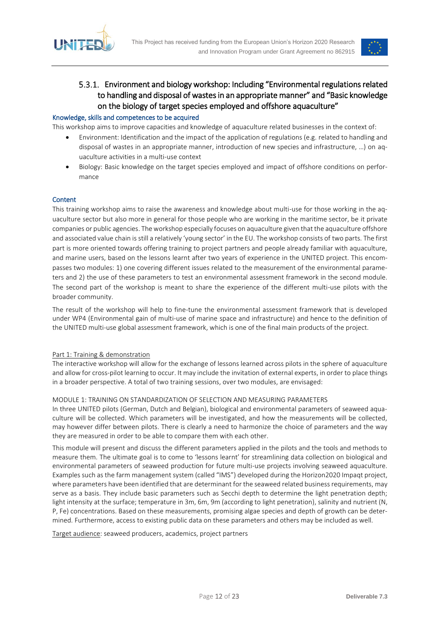



### <span id="page-11-0"></span>Environment and biology workshop: Including "Environmental regulations related to handling and disposal of wastes in an appropriate manner" and "Basic knowledge on the biology of target species employed and offshore aquaculture"

#### Knowledge, skills and competences to be acquired

This workshop aims to improve capacities and knowledge of aquaculture related businesses in the context of:

- Environment: Identification and the impact of the application of regulations (e.g. related to handling and disposal of wastes in an appropriate manner, introduction of new species and infrastructure, …) on aquaculture activities in a multi-use context
- Biology: Basic knowledge on the target species employed and impact of offshore conditions on performance

#### **Content**

This training workshop aims to raise the awareness and knowledge about multi-use for those working in the aquaculture sector but also more in general for those people who are working in the maritime sector, be it private companies or public agencies. The workshop especially focuses on aquaculture given that the aquaculture offshore and associated value chain is still a relatively 'young sector' in the EU. The workshop consists of two parts. The first part is more oriented towards offering training to project partners and people already familiar with aquaculture, and marine users, based on the lessons learnt after two years of experience in the UNITED project. This encompasses two modules: 1) one covering different issues related to the measurement of the environmental parameters and 2) the use of these parameters to test an environmental assessment framework in the second module. The second part of the workshop is meant to share the experience of the different multi-use pilots with the broader community.

The result of the workshop will help to fine-tune the environmental assessment framework that is developed under WP4 (Environmental gain of multi-use of marine space and infrastructure) and hence to the definition of the UNITED multi-use global assessment framework, which is one of the final main products of the project.

#### Part 1: Training & demonstration

The interactive workshop will allow for the exchange of lessons learned across pilots in the sphere of aquaculture and allow for cross-pilot learning to occur. It may include the invitation of external experts, in order to place things in a broader perspective. A total of two training sessions, over two modules, are envisaged:

#### MODULE 1: TRAINING ON STANDARDIZATION OF SELECTION AND MEASURING PARAMETERS

In three UNITED pilots (German, Dutch and Belgian), biological and environmental parameters of seaweed aquaculture will be collected. Which parameters will be investigated, and how the measurements will be collected, may however differ between pilots. There is clearly a need to harmonize the choice of parameters and the way they are measured in order to be able to compare them with each other.

This module will present and discuss the different parameters applied in the pilots and the tools and methods to measure them. The ultimate goal is to come to 'lessons learnt' for streamlining data collection on biological and environmental parameters of seaweed production for future multi-use projects involving seaweed aquaculture. Examples such as the farm management system (called "IMS") developed during the Horizon2020 Impaqt project, where parameters have been identified that are determinant for the seaweed related business requirements, may serve as a basis. They include basic parameters such as Secchi depth to determine the light penetration depth; light intensity at the surface; temperature in 3m, 6m, 9m (according to light penetration), salinity and nutrient (N, P, Fe) concentrations. Based on these measurements, promising algae species and depth of growth can be determined. Furthermore, access to existing public data on these parameters and others may be included as well.

Target audience: seaweed producers, academics, project partners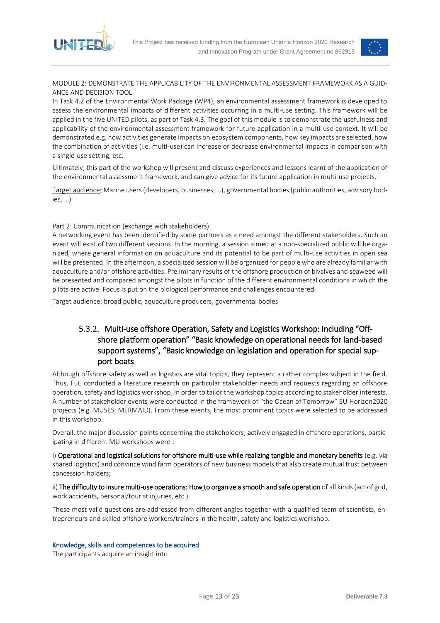



MODULE 2: DEMONSTRATE THE APPLICABILITY OF THE ENVIRONMENTAL ASSESSMENT FRAMEWORK AS A GUID-ANCE AND DECISION TOOL

In Task 4.2 of the Environmental Work Package (WP4), an environmental assessment framework is developed to assess the environmental impacts of different activities occurring in a multi-use setting. This framework will be applied in the five UNITED pilots, as part of Task 4.3. The goal of this module is to demonstrate the usefulness and applicability of the environmental assessment framework for future application in a multi-use context. It will be demonstrated e.g. how activities generate impacts on ecosystem components, how key impacts are selected, how the combination of activities (i.e. multi-use) can increase or decrease environmental impacts in comparison with a single-use setting, etc.

Ultimately, this part of the workshop will present and discuss experiences and lessons learnt of the application of the environmental assessment framework, and can give advice for its future application in multi-use projects.

Target audience: Marine users (developers, businesses, …), governmental bodies (public authorities, advisory bodies, …)

#### Part 2: Communication (exchange with stakeholders)

A networking event has been identified by some partners as a need amongst the different stakeholders. Such an event will exist of two different sessions. In the morning, a session aimed at a non-specialized public will be organized, where general information on aquaculture and its potential to be part of multi-use activities in open sea will be presented. In the afternoon, a specialized session will be organized for people who are already familiar with aquaculture and/or offshore activities. Preliminary results of the offshore production of bivalves and seaweed will be presented and compared amongst the pilots in function of the different environmental conditions in which the pilots are active. Focus is put on the biological performance and challenges encountered.

<span id="page-12-0"></span>Target audience: broad public, aquaculture producers, governmental bodies

### 5.3.2. Multi-use offshore Operation, Safety and Logistics Workshop: Including "Offshore platform operation" "Basic knowledge on operational needs for land-based support systems", "Basic knowledge on legislation and operation for special support boats

Although offshore safety as well as logistics are vital topics, they represent a rather complex subject in the field. Thus, FuE conducted a literature research on particular stakeholder needs and requests regarding an offshore operation, safety and logistics workshop, in order to tailor the workshop topics according to stakeholder interests. A number of stakeholder events were conducted in the framework of "the Ocean of Tomorrow" EU Horizon2020 projects (e.g. MUSES, MERMAID). From these events, the most prominent topics were selected to be addressed in this workshop.

Overall, the major discussion points concerning the stakeholders, actively engaged in offshore operations, participating in different MU workshops were :

i) Operational and logistical solutions for offshore multi-use while realizing tangible and monetary benefits (e.g. via shared logistics) and convince wind farm operators of new business models that also create mutual trust between concession holders;

ii) The difficulty to insure multi-use operations: How to organize a smooth and safe operation of all kinds (act of god, work accidents, personal/tourist injuries, etc.).

These most valid questions are addressed from different angles together with a qualified team of scientists, entrepreneurs and skilled offshore workers/trainers in the health, safety and logistics workshop.

#### Knowledge, skills and competences to be acquired

The participants acquire an insight into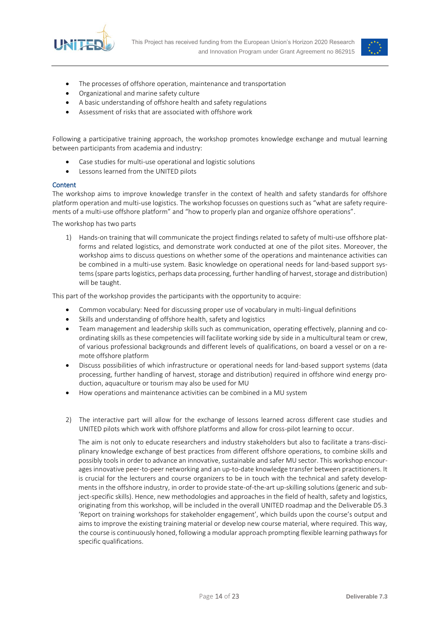



- The processes of offshore operation, maintenance and transportation
- Organizational and marine safety culture
- A basic understanding of offshore health and safety regulations
- Assessment of risks that are associated with offshore work

Following a participative training approach, the workshop promotes knowledge exchange and mutual learning between participants from academia and industry:

- Case studies for multi-use operational and logistic solutions
- Lessons learned from the UNITED pilots

#### **Content**

The workshop aims to improve knowledge transfer in the context of health and safety standards for offshore platform operation and multi-use logistics. The workshop focusses on questions such as "what are safety requirements of a multi-use offshore platform" and "how to properly plan and organize offshore operations".

The workshop has two parts

1) Hands-on training that will communicate the project findings related to safety of multi-use offshore platforms and related logistics, and demonstrate work conducted at one of the pilot sites. Moreover, the workshop aims to discuss questions on whether some of the operations and maintenance activities can be combined in a multi-use system. Basic knowledge on operational needs for land-based support systems (spare parts logistics, perhaps data processing, further handling of harvest, storage and distribution) will be taught.

This part of the workshop provides the participants with the opportunity to acquire:

- Common vocabulary: Need for discussing proper use of vocabulary in multi-lingual definitions
- Skills and understanding of offshore health, safety and logistics
- Team management and leadership skills such as communication, operating effectively, planning and coordinating skills as these competencies will facilitate working side by side in a multicultural team or crew, of various professional backgrounds and different levels of qualifications, on board a vessel or on a remote offshore platform
- Discuss possibilities of which infrastructure or operational needs for land-based support systems (data processing, further handling of harvest, storage and distribution) required in offshore wind energy production, aquaculture or tourism may also be used for MU
- How operations and maintenance activities can be combined in a MU system
- 2) The interactive part will allow for the exchange of lessons learned across different case studies and UNITED pilots which work with offshore platforms and allow for cross-pilot learning to occur.

The aim is not only to educate researchers and industry stakeholders but also to facilitate a trans-disciplinary knowledge exchange of best practices from different offshore operations, to combine skills and possibly tools in order to advance an innovative, sustainable and safer MU sector. This workshop encourages innovative peer-to-peer networking and an up-to-date knowledge transfer between practitioners. It is crucial for the lecturers and course organizers to be in touch with the technical and safety developments in the offshore industry, in order to provide state-of-the-art up-skilling solutions (generic and subject-specific skills). Hence, new methodologies and approaches in the field of health, safety and logistics, originating from this workshop, will be included in the overall UNITED roadmap and the Deliverable D5.3 'Report on training workshops for stakeholder engagement', which builds upon the course's output and aims to improve the existing training material or develop new course material, where required. This way, the course is continuously honed, following a modular approach prompting flexible learning pathways for specific qualifications.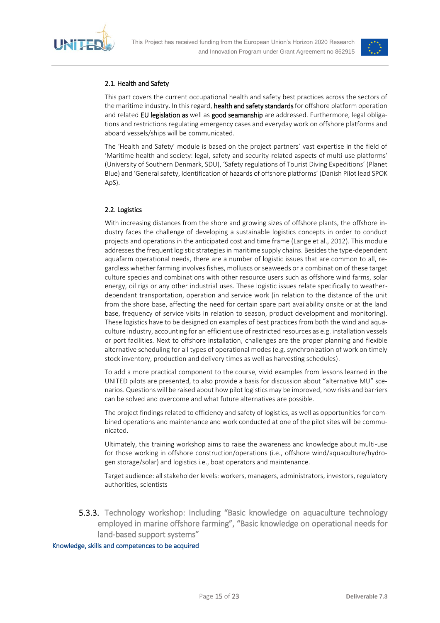



#### 2.1. Health and Safety

This part covers the current occupational health and safety best practices across the sectors of the maritime industry. In this regard, health and safety standards for offshore platform operation and related EU legislation as well as good seamanship are addressed. Furthermore, legal obligations and restrictions regulating emergency cases and everyday work on offshore platforms and aboard vessels/ships will be communicated.

The 'Health and Safety' module is based on the project partners' vast expertise in the field of 'Maritime health and society: legal, safety and security-related aspects of multi-use platforms' (University of Southern Denmark, SDU), 'Safety regulations of Tourist Diving Expeditions' (Planet Blue) and 'General safety, Identification of hazards of offshore platforms' (Danish Pilot lead SPOK ApS).

### 2.2. Logistics

With increasing distances from the shore and growing sizes of offshore plants, the offshore industry faces the challenge of developing a sustainable logistics concepts in order to conduct projects and operations in the anticipated cost and time frame (Lange et al., 2012). This module addresses the frequent logistic strategies in maritime supply chains. Besides the type-dependent aquafarm operational needs, there are a number of logistic issues that are common to all, regardless whether farming involves fishes, molluscs or seaweeds or a combination of these target culture species and combinations with other resource users such as offshore wind farms, solar energy, oil rigs or any other industrial uses. These logistic issues relate specifically to weatherdependant transportation, operation and service work (in relation to the distance of the unit from the shore base, affecting the need for certain spare part availability onsite or at the land base, frequency of service visits in relation to season, product development and monitoring). These logistics have to be designed on examples of best practices from both the wind and aquaculture industry, accounting for an efficient use of restricted resources as e.g. installation vessels or port facilities. Next to offshore installation, challenges are the proper planning and flexible alternative scheduling for all types of operational modes (e.g. synchronization of work on timely stock inventory, production and delivery times as well as harvesting schedules).

To add a more practical component to the course, vivid examples from lessons learned in the UNITED pilots are presented, to also provide a basis for discussion about "alternative MU" scenarios. Questions will be raised about how pilot logistics may be improved, how risks and barriers can be solved and overcome and what future alternatives are possible.

The project findings related to efficiency and safety of logistics, as well as opportunities for combined operations and maintenance and work conducted at one of the pilot sites will be communicated.

Ultimately, this training workshop aims to raise the awareness and knowledge about multi-use for those working in offshore construction/operations (i.e., offshore wind/aquaculture/hydrogen storage/solar) and logistics i.e., boat operators and maintenance.

Target audience: all stakeholder levels: workers, managers, administrators, investors, regulatory authorities, scientists

<span id="page-14-0"></span>**5.3.3.** Technology workshop: Including "Basic knowledge on aquaculture technology employed in marine offshore farming", "Basic knowledge on operational needs for land-based support systems"

#### Knowledge, skills and competences to be acquired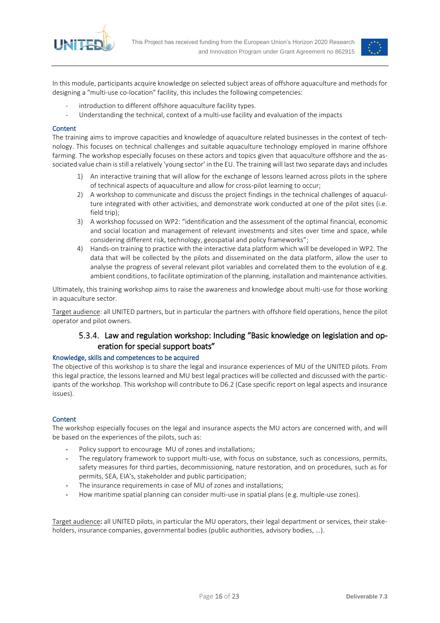<span id="page-15-1"></span>



In this module, participants acquire knowledge on selected subject areas of offshore aquaculture and methods for designing a "multi-use co-location" facility, this includes the following competencies:

- introduction to different offshore aquaculture facility types.
- Understanding the technical, context of a multi-use facility and evaluation of the impacts

#### **Content**

The training aims to improve capacities and knowledge of aquaculture related businesses in the context of technology. This focuses on technical challenges and suitable aquaculture technology employed in marine offshore farming. The workshop especially focuses on these actors and topics given that aquaculture offshore and the associated value chain is still a relatively 'young sector' in the EU. The training will last two separate days and includes

- 1) An interactive training that will allow for the exchange of lessons learned across pilots in the sphere of technical aspects of aquaculture and allow for cross-pilot learning to occur;
- 2) A workshop to communicate and discuss the project findings in the technical challenges of aquaculture integrated with other activities, and demonstrate work conducted at one of the pilot sites (i.e. field trip);
- 3) A workshop focussed on WP2: "identification and the assessment of the optimal financial, economic and social location and management of relevant investments and sites over time and space, while considering different risk, technology, geospatial and policy frameworks";
- 4) Hands-on training to practice with the interactive data platform which will be developed in WP2. The data that will be collected by the pilots and disseminated on the data platform, allow the user to analyse the progress of several relevant pilot variables and correlated them to the evolution of e.g. ambient conditions, to facilitate optimization of the planning, installation and maintenance activities.

Ultimately, this training workshop aims to raise the awareness and knowledge about multi-use for those working in aquaculture sector.

<span id="page-15-0"></span>Target audience: all UNITED partners, but in particular the partners with offshore field operations, hence the pilot operator and pilot owners.

### 5.3.4. Law and regulation workshop: Including "Basic knowledge on legislation and operation for special support boats"

#### Knowledge, skills and competences to be acquired

The objective of this workshop is to share the legal and insurance experiences of MU of the UNITED pilots. From this legal practice, the lessons learned and MU best legal practices will be collected and discussed with the participants of the workshop. This workshop will contribute to D6.2 (Case specific report on legal aspects and insurance issues).

#### **Content**

The workshop especially focuses on the legal and insurance aspects the MU actors are concerned with, and will be based on the experiences of the pilots, such as:

- Policy support to encourage MU of zones and installations;
- The regulatory framework to support multi-use, with focus on substance, such as concessions, permits, safety measures for third parties, decommissioning, nature restoration, and on procedures, such as for permits, SEA, EIA's, stakeholder and public participation;
- The insurance requirements in case of MU of zones and installations;
- How maritime spatial planning can consider multi-use in spatial plans (e.g. multiple-use zones).

Target audience: all UNITED pilots, in particular the MU operators, their legal department or services, their stakeholders, insurance companies, governmental bodies (public authorities, advisory bodies, …).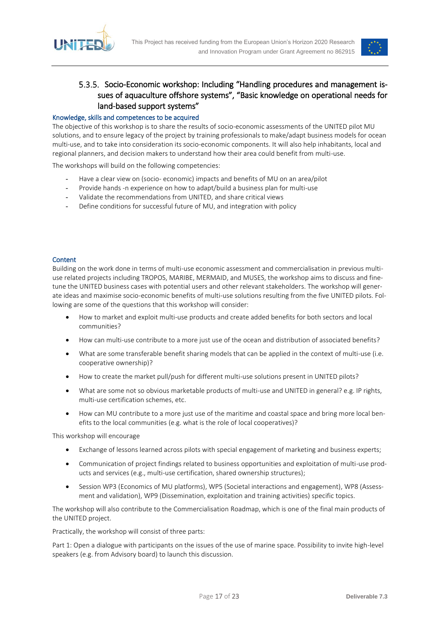



### 5.3.5. Socio-Economic workshop: Including "Handling procedures and management issues of aquaculture offshore systems", "Basic knowledge on operational needs for land-based support systems"

#### Knowledge, skills and competences to be acquired

The objective of this workshop is to share the results of socio-economic assessments of the UNITED pilot MU solutions, and to ensure legacy of the project by training professionals to make/adapt business models for ocean multi-use, and to take into consideration its socio-economic components. It will also help inhabitants, local and regional planners, and decision makers to understand how their area could benefit from multi-use.

The workshops will build on the following competencies:

- Have a clear view on (socio- economic) impacts and benefits of MU on an area/pilot
- Provide hands -n experience on how to adapt/build a business plan for multi-use
- Validate the recommendations from UNITED, and share critical views
- Define conditions for successful future of MU, and integration with policy

#### **Content**

Building on the work done in terms of multi-use economic assessment and commercialisation in previous multiuse related projects including TROPOS, MARIBE, MERMAID, and MUSES, the workshop aims to discuss and finetune the UNITED business cases with potential users and other relevant stakeholders. The workshop will generate ideas and maximise socio-economic benefits of multi-use solutions resulting from the five UNITED pilots. Following are some of the questions that this workshop will consider:

- How to market and exploit multi-use products and create added benefits for both sectors and local communities?
- How can multi-use contribute to a more just use of the ocean and distribution of associated benefits?
- What are some transferable benefit sharing models that can be applied in the context of multi-use (i.e. cooperative ownership)?
- How to create the market pull/push for different multi-use solutions present in UNITED pilots?
- What are some not so obvious marketable products of multi-use and UNITED in general? e.g. IP rights, multi-use certification schemes, etc.
- How can MU contribute to a more just use of the maritime and coastal space and bring more local benefits to the local communities (e.g. what is the role of local cooperatives)?

This workshop will encourage

- Exchange of lessons learned across pilots with special engagement of marketing and business experts;
- Communication of project findings related to business opportunities and exploitation of multi-use products and services (e.g., multi-use certification, shared ownership structures);
- Session WP3 (Economics of MU platforms), WP5 (Societal interactions and engagement), WP8 (Assessment and validation), WP9 (Dissemination, exploitation and training activities) specific topics.

The workshop will also contribute to the Commercialisation Roadmap, which is one of the final main products of the UNITED project.

Practically, the workshop will consist of three parts:

Part 1: Open a dialogue with participants on the issues of the use of marine space. Possibility to invite high-level speakers (e.g. from Advisory board) to launch this discussion.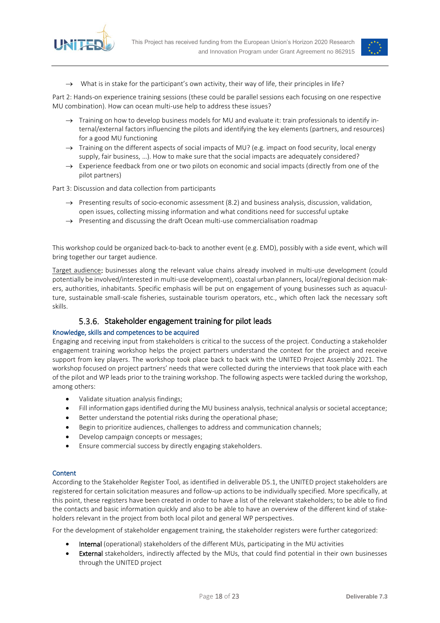



 $\rightarrow$  What is in stake for the participant's own activity, their way of life, their principles in life?

Part 2: Hands-on experience training sessions (these could be parallel sessions each focusing on one respective MU combination). How can ocean multi-use help to address these issues?

- $\rightarrow$  Training on how to develop business models for MU and evaluate it: train professionals to identify internal/external factors influencing the pilots and identifying the key elements (partners, and resources) for a good MU functioning
- $\rightarrow$  Training on the different aspects of social impacts of MU? (e.g. impact on food security, local energy supply, fair business, …). How to make sure that the social impacts are adequately considered?
- $\rightarrow$  Experience feedback from one or two pilots on economic and social impacts (directly from one of the pilot partners)

Part 3: Discussion and data collection from participants

- $\rightarrow$  Presenting results of socio-economic assessment (8.2) and business analysis, discussion, validation, open issues, collecting missing information and what conditions need for successful uptake
- $\rightarrow$  Presenting and discussing the draft Ocean multi-use commercialisation roadmap

This workshop could be organized back-to-back to another event (e.g. EMD), possibly with a side event, which will bring together our target audience.

Target audience: businesses along the relevant value chains already involved in multi-use development (could potentially be involved/interested in multi-use development), coastal urban planners, local/regional decision makers, authorities, inhabitants. Specific emphasis will be put on engagement of young businesses such as aquaculture, sustainable small-scale fisheries, sustainable tourism operators, etc., which often lack the necessary soft skills.

### 5.3.6. Stakeholder engagement training for pilot leads

#### <span id="page-17-0"></span>Knowledge, skills and competences to be acquired

Engaging and receiving input from stakeholders is critical to the success of the project. Conducting a stakeholder engagement training workshop helps the project partners understand the context for the project and receive support from key players. The workshop took place back to back with the UNITED Project Assembly 2021. The workshop focused on project partners' needs that were collected during the interviews that took place with each of the pilot and WP leads prior to the training workshop. The following aspects were tackled during the workshop, among others:

- Validate situation analysis findings;
- Fill information gaps identified during the MU business analysis, technical analysis or societal acceptance;
- Better understand the potential risks during the operational phase;
- Begin to prioritize audiences, challenges to address and communication channels;
- Develop campaign concepts or messages;
- Ensure commercial success by directly engaging stakeholders.

#### **Content**

According to the Stakeholder Register Tool, as identified in deliverable D5.1, the UNITED project stakeholders are registered for certain solicitation measures and follow-up actions to be individually specified. More specifically, at this point, these registers have been created in order to have a list of the relevant stakeholders; to be able to find the contacts and basic information quickly and also to be able to have an overview of the different kind of stakeholders relevant in the project from both local pilot and general WP perspectives.

For the development of stakeholder engagement training, the stakeholder registers were further categorized:

- Internal (operational) stakeholders of the different MUs, participating in the MU activities
- External stakeholders, indirectly affected by the MUs, that could find potential in their own businesses through the UNITED project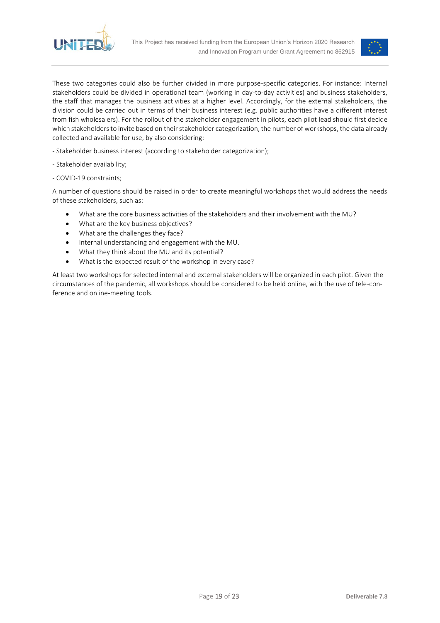



These two categories could also be further divided in more purpose-specific categories. For instance: Internal stakeholders could be divided in operational team (working in day-to-day activities) and business stakeholders, the staff that manages the business activities at a higher level. Accordingly, for the external stakeholders, the division could be carried out in terms of their business interest (e.g. public authorities have a different interest from fish wholesalers). For the rollout of the stakeholder engagement in pilots, each pilot lead should first decide which stakeholders to invite based on their stakeholder categorization, the number of workshops, the data already collected and available for use, by also considering:

- Stakeholder business interest (according to stakeholder categorization);
- Stakeholder availability;
- COVID-19 constraints;

A number of questions should be raised in order to create meaningful workshops that would address the needs of these stakeholders, such as:

- What are the core business activities of the stakeholders and their involvement with the MU?
- What are the key business objectives?
- What are the challenges they face?
- Internal understanding and engagement with the MU.
- What they think about the MU and its potential?
- What is the expected result of the workshop in every case?

At least two workshops for selected internal and external stakeholders will be organized in each pilot. Given the circumstances of the pandemic, all workshops should be considered to be held online, with the use of tele-conference and online-meeting tools.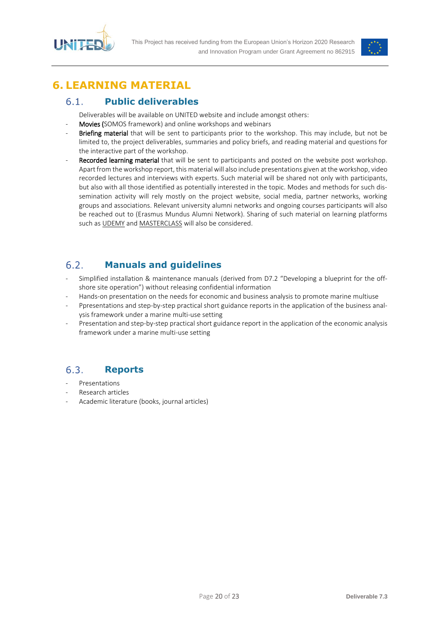



## <span id="page-19-0"></span>**6. LEARNING MATERIAL**

#### <span id="page-19-1"></span>**Public deliverables**  $6.1.$

Deliverables will be available on UNITED website and include amongst others:

- Movies (SOMOS framework) and online workshops and webinars
- Briefing material that will be sent to participants prior to the workshop. This may include, but not be limited to, the project deliverables, summaries and policy briefs, and reading material and questions for the interactive part of the workshop.
- Recorded learning material that will be sent to participants and posted on the website post workshop. Apart from the workshop report, this material will also include presentations given at the workshop, video recorded lectures and interviews with experts. Such material will be shared not only with participants, but also with all those identified as potentially interested in the topic. Modes and methods for such dissemination activity will rely mostly on the project website, social media, partner networks, working groups and associations. Relevant university alumni networks and ongoing courses participants will also be reached out to (Erasmus Mundus Alumni Network). Sharing of such material on learning platforms such a[s UDEMY](https://www.udemy.com/courses/business/operations/) an[d MASTERCLASS](https://www.masterclass.com/?utm_source=Paid&utm_medium=AdWords&utm_campaign=MC&utm_content=Brand-%7bkeyword%7d-G1_EM&utm_term=Aq-Prospecting&gclid=Cj0KCQjw-_j1BRDkARIsAJcfmTHkP4hXtmeWqkuzZCXcA0qtcUxGq3702rbAynXnmFSOQJOOfA9LFKEaAl9CEALw_wcB) will also be considered.

#### <span id="page-19-2"></span> $6.2.$ **Manuals and guidelines**

- Simplified installation & maintenance manuals (derived from D7.2 "Developing a blueprint for the offshore site operation") without releasing confidential information
- Hands-on presentation on the needs for economic and business analysis to promote marine multiuse
- Ppresentations and step-by-step practical short guidance reports in the application of the business analysis framework under a marine multi-use setting
- Presentation and step-by-step practical short guidance report in the application of the economic analysis framework under a marine multi-use setting

#### <span id="page-19-3"></span> $6.3.$ **Reports**

- **Presentations**
- Research articles
- Academic literature (books, journal articles)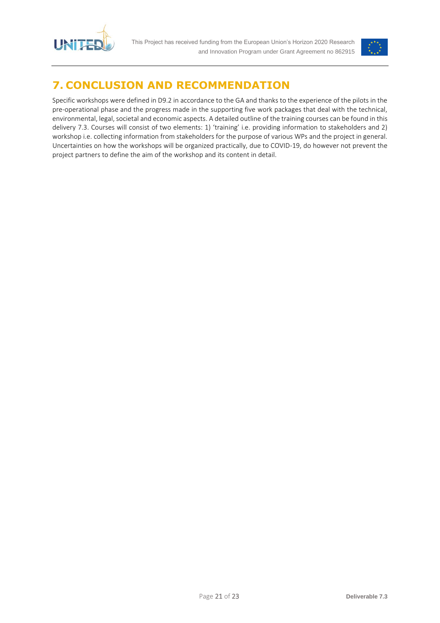

This Project has received funding from the European Union's Horizon 2020 Research and Innovation Program under Grant Agreement no 862915



## <span id="page-20-0"></span>**7. CONCLUSION AND RECOMMENDATION**

Specific workshops were defined in D9.2 in accordance to the GA and thanks to the experience of the pilots in the pre-operational phase and the progress made in the supporting five work packages that deal with the technical, environmental, legal, societal and economic aspects. A detailed outline of the training courses can be found in this delivery 7.3. Courses will consist of two elements: 1) 'training' i.e. providing information to stakeholders and 2) workshop i.e. collecting information from stakeholders for the purpose of various WPs and the project in general. Uncertainties on how the workshops will be organized practically, due to COVID-19, do however not prevent the project partners to define the aim of the workshop and its content in detail.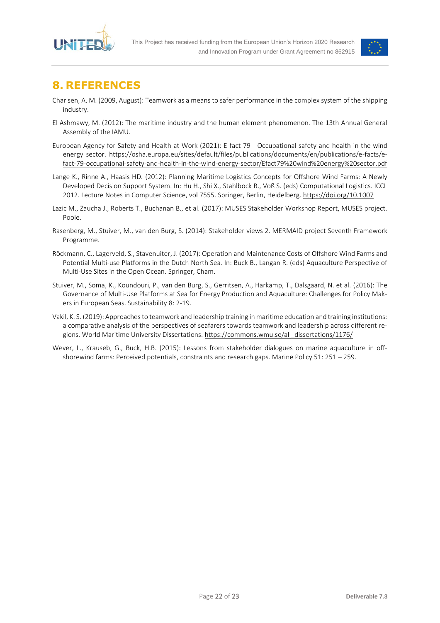



## <span id="page-21-0"></span>**8. REFERENCES**

- Charlsen, A. M. (2009, August): Teamwork as a means to safer performance in the complex system of the shipping industry.
- El Ashmawy, M. (2012): The maritime industry and the human element phenomenon. The 13th Annual General Assembly of the IAMU.
- European Agency for Safety and Health at Work (2021): E-fact 79 Occupational safety and health in the wind energy sector. [https://osha.europa.eu/sites/default/files/publications/documents/en/publications/e-facts/e](https://osha.europa.eu/sites/default/files/publications/documents/en/publications/e-facts/e-fact-79-occupational-safety-and-health-in-the-wind-energy-sector/Efact79%20wind%20energy%20sector.pdf)[fact-79-occupational-safety-and-health-in-the-wind-energy-sector/Efact79%20wind%20energy%20sector.pdf](https://osha.europa.eu/sites/default/files/publications/documents/en/publications/e-facts/e-fact-79-occupational-safety-and-health-in-the-wind-energy-sector/Efact79%20wind%20energy%20sector.pdf)
- Lange K., Rinne A., Haasis HD. (2012): Planning Maritime Logistics Concepts for Offshore Wind Farms: A Newly Developed Decision Support System. In: Hu H., Shi X., Stahlbock R., Voß S. (eds) Computational Logistics. ICCL 2012. Lecture Notes in Computer Science, vol 7555. Springer, Berlin, Heidelberg.<https://doi.org/10.1007>
- Lazic M., Zaucha J., Roberts T., Buchanan B., et al. (2017): MUSES Stakeholder Workshop Report, MUSES project. Poole.
- Rasenberg, M., Stuiver, M., van den Burg, S. (2014): Stakeholder views 2. MERMAID project Seventh Framework Programme.
- Röckmann, C., Lagerveld, S., Stavenuiter, J. (2017): Operation and Maintenance Costs of Offshore Wind Farms and Potential Multi-use Platforms in the Dutch North Sea. In: Buck B., Langan R. (eds) Aquaculture Perspective of Multi-Use Sites in the Open Ocean. Springer, Cham.
- Stuiver, M., Soma, K., Koundouri, P., van den Burg, S., Gerritsen, A., Harkamp, T., Dalsgaard, N. et al. (2016): The Governance of Multi-Use Platforms at Sea for Energy Production and Aquaculture: Challenges for Policy Makers in European Seas. Sustainability 8: 2-19.
- Vakil, K. S. (2019): Approaches to teamwork and leadership training in maritime education and training institutions: a comparative analysis of the perspectives of seafarers towards teamwork and leadership across different regions. World Maritime University Dissertations. [https://commons.wmu.se/all\\_dissertations/1176/](https://commons.wmu.se/all_dissertations/1176/)
- Wever, L., Krauseb, G., Buck, H.B. (2015): Lessons from stakeholder dialogues on marine aquaculture in offshorewind farms: Perceived potentials, constraints and research gaps. Marine Policy 51: 251 – 259.